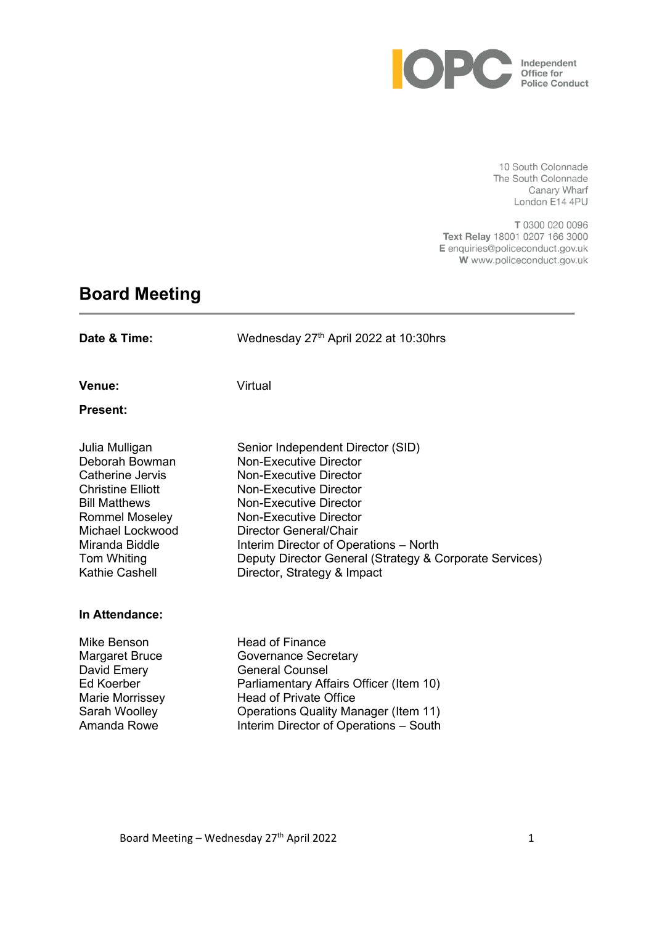

10 South Colonnade The South Colonnade Canary Wharf London E14 4PU

T 0300 020 0096 Text Relay 18001 0207 166 3000 E enquiries@policeconduct.gov.uk W www.policeconduct.gov.uk

# **Board Meeting**

| Date & Time:                                                                                                                                                                                             | Wednesday 27th April 2022 at 10:30hrs                                                                                                                                                                                                                                                                                                           |
|----------------------------------------------------------------------------------------------------------------------------------------------------------------------------------------------------------|-------------------------------------------------------------------------------------------------------------------------------------------------------------------------------------------------------------------------------------------------------------------------------------------------------------------------------------------------|
| Venue:<br><b>Present:</b>                                                                                                                                                                                | Virtual                                                                                                                                                                                                                                                                                                                                         |
| Julia Mulligan<br>Deborah Bowman<br>Catherine Jervis<br><b>Christine Elliott</b><br><b>Bill Matthews</b><br>Rommel Moseley<br>Michael Lockwood<br>Miranda Biddle<br>Tom Whiting<br><b>Kathie Cashell</b> | Senior Independent Director (SID)<br><b>Non-Executive Director</b><br>Non-Executive Director<br>Non-Executive Director<br>Non-Executive Director<br><b>Non-Executive Director</b><br>Director General/Chair<br>Interim Director of Operations - North<br>Deputy Director General (Strategy & Corporate Services)<br>Director, Strategy & Impact |
| In Attendance:                                                                                                                                                                                           |                                                                                                                                                                                                                                                                                                                                                 |
| Mike Benson<br>Margaret Bruce<br>David Emery<br><b>Ed Koerber</b><br>Marie Morrissey<br>Sarah Woolley                                                                                                    | <b>Head of Finance</b><br><b>Governance Secretary</b><br><b>General Counsel</b><br>Parliamentary Affairs Officer (Item 10)<br><b>Head of Private Office</b><br><b>Operations Quality Manager (Item 11)</b>                                                                                                                                      |

Amanda Rowe Interim Director of Operations – South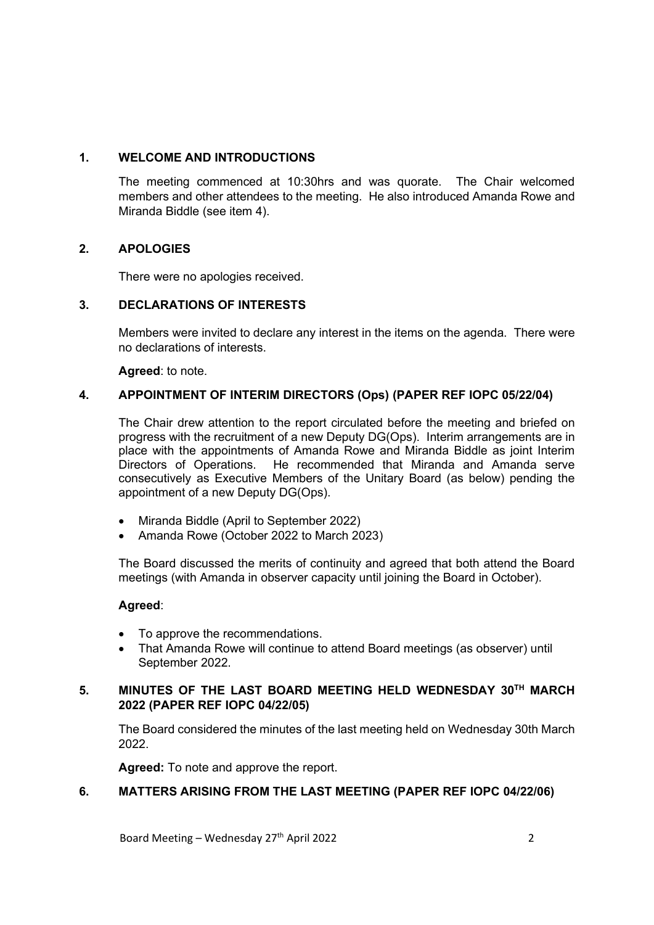#### **1. WELCOME AND INTRODUCTIONS**

The meeting commenced at 10:30hrs and was quorate. The Chair welcomed members and other attendees to the meeting. He also introduced Amanda Rowe and Miranda Biddle (see item 4).

#### **2. APOLOGIES**

There were no apologies received.

#### **3. DECLARATIONS OF INTERESTS**

Members were invited to declare any interest in the items on the agenda. There were no declarations of interests.

**Agreed**: to note.

#### **4. APPOINTMENT OF INTERIM DIRECTORS (Ops) (PAPER REF IOPC 05/22/04)**

The Chair drew attention to the report circulated before the meeting and briefed on progress with the recruitment of a new Deputy DG(Ops). Interim arrangements are in place with the appointments of Amanda Rowe and Miranda Biddle as joint Interim Directors of Operations. He recommended that Miranda and Amanda serve consecutively as Executive Members of the Unitary Board (as below) pending the appointment of a new Deputy DG(Ops).

- Miranda Biddle (April to September 2022)
- Amanda Rowe (October 2022 to March 2023)

The Board discussed the merits of continuity and agreed that both attend the Board meetings (with Amanda in observer capacity until joining the Board in October).

#### **Agreed**:

- To approve the recommendations.
- That Amanda Rowe will continue to attend Board meetings (as observer) until September 2022.

#### **5. MINUTES OF THE LAST BOARD MEETING HELD WEDNESDAY 30TH MARCH 2022 (PAPER REF IOPC 04/22/05)**

The Board considered the minutes of the last meeting held on Wednesday 30th March 2022.

**Agreed:** To note and approve the report.

#### **6. MATTERS ARISING FROM THE LAST MEETING (PAPER REF IOPC 04/22/06)**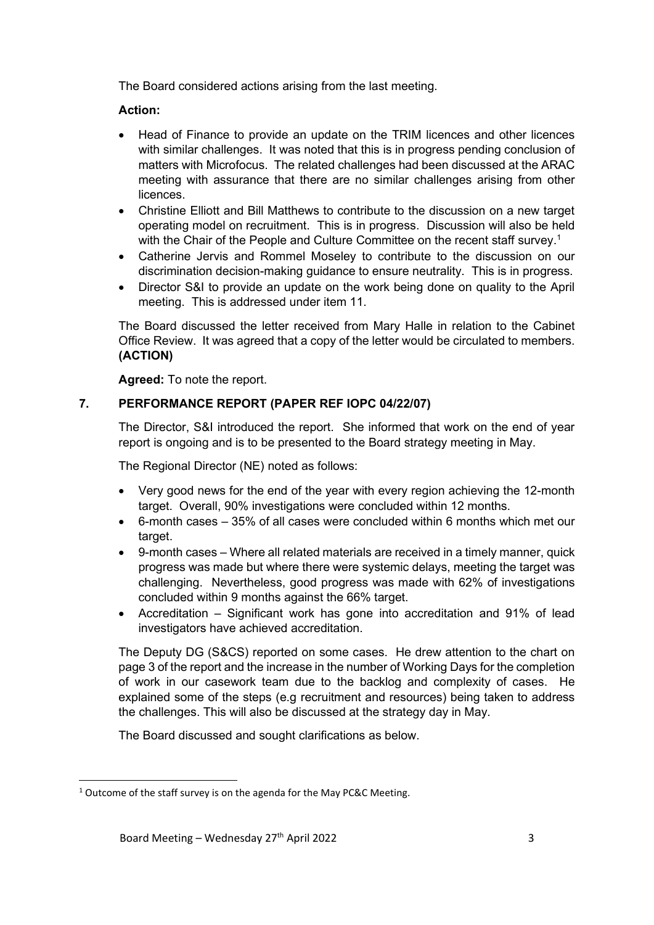The Board considered actions arising from the last meeting.

# **Action:**

- Head of Finance to provide an update on the TRIM licences and other licences with similar challenges. It was noted that this is in progress pending conclusion of matters with Microfocus. The related challenges had been discussed at the ARAC meeting with assurance that there are no similar challenges arising from other licences.
- Christine Elliott and Bill Matthews to contribute to the discussion on a new target operating model on recruitment. This is in progress. Discussion will also be held with the Chair of the People and Culture Committee on the recent staff survey.<sup>1</sup>
- Catherine Jervis and Rommel Moseley to contribute to the discussion on our discrimination decision-making guidance to ensure neutrality. This is in progress.
- Director S&I to provide an update on the work being done on quality to the April meeting. This is addressed under item 11.

The Board discussed the letter received from Mary Halle in relation to the Cabinet Office Review. It was agreed that a copy of the letter would be circulated to members. **(ACTION)**

**Agreed:** To note the report.

# **7. PERFORMANCE REPORT (PAPER REF IOPC 04/22/07)**

The Director, S&I introduced the report. She informed that work on the end of year report is ongoing and is to be presented to the Board strategy meeting in May.

The Regional Director (NE) noted as follows:

- Very good news for the end of the year with every region achieving the 12-month target. Overall, 90% investigations were concluded within 12 months.
- 6-month cases 35% of all cases were concluded within 6 months which met our target.
- 9-month cases Where all related materials are received in a timely manner, quick progress was made but where there were systemic delays, meeting the target was challenging. Nevertheless, good progress was made with 62% of investigations concluded within 9 months against the 66% target.
- Accreditation Significant work has gone into accreditation and 91% of lead investigators have achieved accreditation.

The Deputy DG (S&CS) reported on some cases. He drew attention to the chart on page 3 of the report and the increase in the number of Working Days for the completion of work in our casework team due to the backlog and complexity of cases. He explained some of the steps (e.g recruitment and resources) being taken to address the challenges. This will also be discussed at the strategy day in May.

The Board discussed and sought clarifications as below.

<sup>&</sup>lt;sup>1</sup> Outcome of the staff survey is on the agenda for the May PC&C Meeting.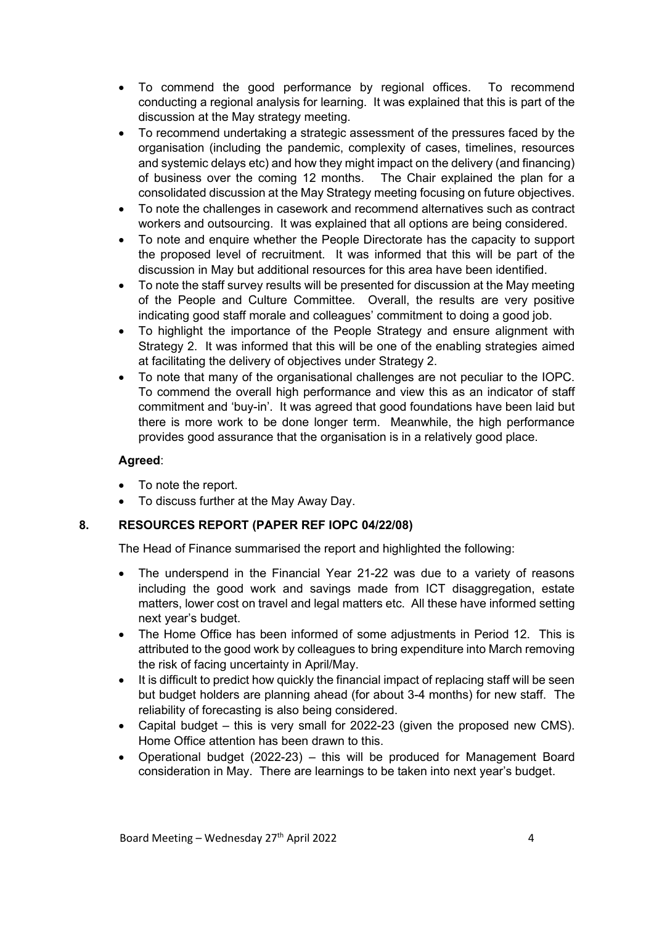- To commend the good performance by regional offices. To recommend conducting a regional analysis for learning. It was explained that this is part of the discussion at the May strategy meeting.
- To recommend undertaking a strategic assessment of the pressures faced by the organisation (including the pandemic, complexity of cases, timelines, resources and systemic delays etc) and how they might impact on the delivery (and financing) of business over the coming 12 months. The Chair explained the plan for a consolidated discussion at the May Strategy meeting focusing on future objectives.
- To note the challenges in casework and recommend alternatives such as contract workers and outsourcing. It was explained that all options are being considered.
- To note and enquire whether the People Directorate has the capacity to support the proposed level of recruitment. It was informed that this will be part of the discussion in May but additional resources for this area have been identified.
- To note the staff survey results will be presented for discussion at the May meeting of the People and Culture Committee. Overall, the results are very positive indicating good staff morale and colleagues' commitment to doing a good job.
- To highlight the importance of the People Strategy and ensure alignment with Strategy 2. It was informed that this will be one of the enabling strategies aimed at facilitating the delivery of objectives under Strategy 2.
- To note that many of the organisational challenges are not peculiar to the IOPC. To commend the overall high performance and view this as an indicator of staff commitment and 'buy-in'. It was agreed that good foundations have been laid but there is more work to be done longer term. Meanwhile, the high performance provides good assurance that the organisation is in a relatively good place.

#### **Agreed**:

- To note the report.
- To discuss further at the May Away Day.

#### **8. RESOURCES REPORT (PAPER REF IOPC 04/22/08)**

The Head of Finance summarised the report and highlighted the following:

- The underspend in the Financial Year 21-22 was due to a variety of reasons including the good work and savings made from ICT disaggregation, estate matters, lower cost on travel and legal matters etc. All these have informed setting next year's budget.
- The Home Office has been informed of some adjustments in Period 12. This is attributed to the good work by colleagues to bring expenditure into March removing the risk of facing uncertainty in April/May.
- It is difficult to predict how quickly the financial impact of replacing staff will be seen but budget holders are planning ahead (for about 3-4 months) for new staff. The reliability of forecasting is also being considered.
- Capital budget this is very small for 2022-23 (given the proposed new CMS). Home Office attention has been drawn to this.
- Operational budget (2022-23) this will be produced for Management Board consideration in May. There are learnings to be taken into next year's budget.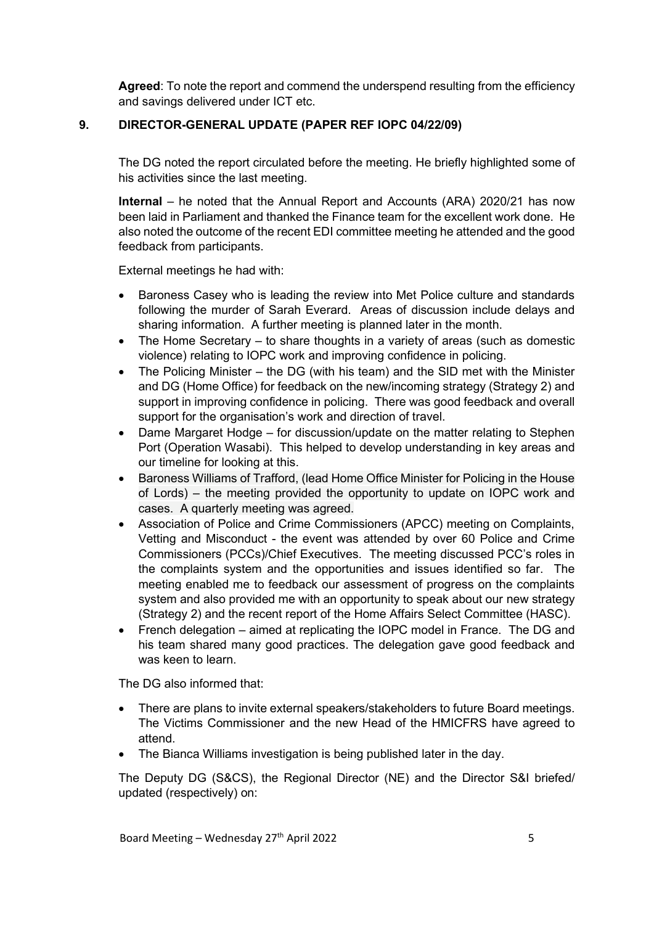**Agreed**: To note the report and commend the underspend resulting from the efficiency and savings delivered under ICT etc.

#### **9. DIRECTOR-GENERAL UPDATE (PAPER REF IOPC 04/22/09)**

The DG noted the report circulated before the meeting. He briefly highlighted some of his activities since the last meeting.

**Internal** – he noted that the Annual Report and Accounts (ARA) 2020/21 has now been laid in Parliament and thanked the Finance team for the excellent work done. He also noted the outcome of the recent EDI committee meeting he attended and the good feedback from participants.

External meetings he had with:

- Baroness Casey who is leading the review into Met Police culture and standards following the murder of Sarah Everard. Areas of discussion include delays and sharing information. A further meeting is planned later in the month.
- The Home Secretary to share thoughts in a variety of areas (such as domestic violence) relating to IOPC work and improving confidence in policing.
- The Policing Minister the DG (with his team) and the SID met with the Minister and DG (Home Office) for feedback on the new/incoming strategy (Strategy 2) and support in improving confidence in policing. There was good feedback and overall support for the organisation's work and direction of travel.
- Dame Margaret Hodge for discussion/update on the matter relating to Stephen Port (Operation Wasabi). This helped to develop understanding in key areas and our timeline for looking at this.
- Baroness Williams of Trafford, (lead Home Office Minister for Policing in the House of Lords) – the meeting provided the opportunity to update on IOPC work and cases. A quarterly meeting was agreed.
- Association of Police and Crime Commissioners (APCC) meeting on Complaints, Vetting and Misconduct - the event was attended by over 60 Police and Crime Commissioners (PCCs)/Chief Executives. The meeting discussed PCC's roles in the complaints system and the opportunities and issues identified so far. The meeting enabled me to feedback our assessment of progress on the complaints system and also provided me with an opportunity to speak about our new strategy (Strategy 2) and the recent report of the Home Affairs Select Committee (HASC).
- French delegation aimed at replicating the IOPC model in France. The DG and his team shared many good practices. The delegation gave good feedback and was keen to learn.

The DG also informed that:

- There are plans to invite external speakers/stakeholders to future Board meetings. The Victims Commissioner and the new Head of the HMICFRS have agreed to attend.
- The Bianca Williams investigation is being published later in the day.

The Deputy DG (S&CS), the Regional Director (NE) and the Director S&I briefed/ updated (respectively) on: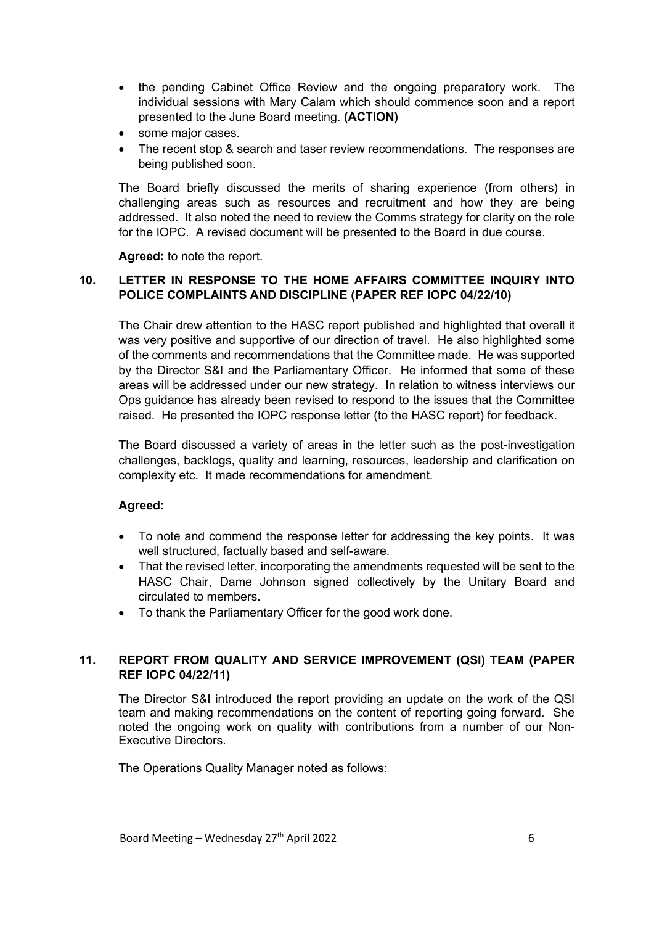- the pending Cabinet Office Review and the ongoing preparatory work. The individual sessions with Mary Calam which should commence soon and a report presented to the June Board meeting. **(ACTION)**
- some major cases.
- The recent stop & search and taser review recommendations. The responses are being published soon.

The Board briefly discussed the merits of sharing experience (from others) in challenging areas such as resources and recruitment and how they are being addressed. It also noted the need to review the Comms strategy for clarity on the role for the IOPC. A revised document will be presented to the Board in due course.

**Agreed:** to note the report.

### **10. LETTER IN RESPONSE TO THE HOME AFFAIRS COMMITTEE INQUIRY INTO POLICE COMPLAINTS AND DISCIPLINE (PAPER REF IOPC 04/22/10)**

The Chair drew attention to the HASC report published and highlighted that overall it was very positive and supportive of our direction of travel. He also highlighted some of the comments and recommendations that the Committee made. He was supported by the Director S&I and the Parliamentary Officer. He informed that some of these areas will be addressed under our new strategy. In relation to witness interviews our Ops guidance has already been revised to respond to the issues that the Committee raised. He presented the IOPC response letter (to the HASC report) for feedback.

The Board discussed a variety of areas in the letter such as the post-investigation challenges, backlogs, quality and learning, resources, leadership and clarification on complexity etc. It made recommendations for amendment.

#### **Agreed:**

- To note and commend the response letter for addressing the key points. It was well structured, factually based and self-aware.
- That the revised letter, incorporating the amendments requested will be sent to the HASC Chair, Dame Johnson signed collectively by the Unitary Board and circulated to members.
- To thank the Parliamentary Officer for the good work done.

#### **11. REPORT FROM QUALITY AND SERVICE IMPROVEMENT (QSI) TEAM (PAPER REF IOPC 04/22/11)**

The Director S&I introduced the report providing an update on the work of the QSI team and making recommendations on the content of reporting going forward. She noted the ongoing work on quality with contributions from a number of our Non-Executive Directors.

The Operations Quality Manager noted as follows: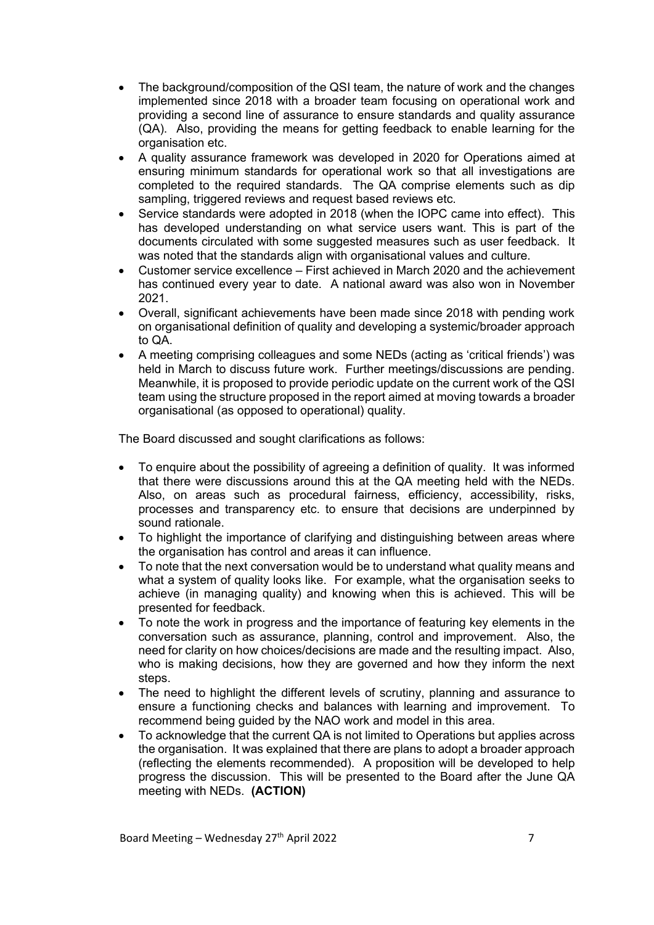- The background/composition of the QSI team, the nature of work and the changes implemented since 2018 with a broader team focusing on operational work and providing a second line of assurance to ensure standards and quality assurance (QA). Also, providing the means for getting feedback to enable learning for the organisation etc.
- A quality assurance framework was developed in 2020 for Operations aimed at ensuring minimum standards for operational work so that all investigations are completed to the required standards. The QA comprise elements such as dip sampling, triggered reviews and request based reviews etc.
- Service standards were adopted in 2018 (when the IOPC came into effect). This has developed understanding on what service users want. This is part of the documents circulated with some suggested measures such as user feedback. It was noted that the standards align with organisational values and culture.
- Customer service excellence First achieved in March 2020 and the achievement has continued every year to date. A national award was also won in November 2021.
- Overall, significant achievements have been made since 2018 with pending work on organisational definition of quality and developing a systemic/broader approach to QA.
- A meeting comprising colleagues and some NEDs (acting as 'critical friends') was held in March to discuss future work. Further meetings/discussions are pending. Meanwhile, it is proposed to provide periodic update on the current work of the QSI team using the structure proposed in the report aimed at moving towards a broader organisational (as opposed to operational) quality.

The Board discussed and sought clarifications as follows:

- To enquire about the possibility of agreeing a definition of quality. It was informed that there were discussions around this at the QA meeting held with the NEDs. Also, on areas such as procedural fairness, efficiency, accessibility, risks, processes and transparency etc. to ensure that decisions are underpinned by sound rationale.
- To highlight the importance of clarifying and distinguishing between areas where the organisation has control and areas it can influence.
- To note that the next conversation would be to understand what quality means and what a system of quality looks like. For example, what the organisation seeks to achieve (in managing quality) and knowing when this is achieved. This will be presented for feedback.
- To note the work in progress and the importance of featuring key elements in the conversation such as assurance, planning, control and improvement. Also, the need for clarity on how choices/decisions are made and the resulting impact. Also, who is making decisions, how they are governed and how they inform the next steps.
- The need to highlight the different levels of scrutiny, planning and assurance to ensure a functioning checks and balances with learning and improvement. To recommend being guided by the NAO work and model in this area.
- To acknowledge that the current QA is not limited to Operations but applies across the organisation. It was explained that there are plans to adopt a broader approach (reflecting the elements recommended). A proposition will be developed to help progress the discussion. This will be presented to the Board after the June QA meeting with NEDs. **(ACTION)**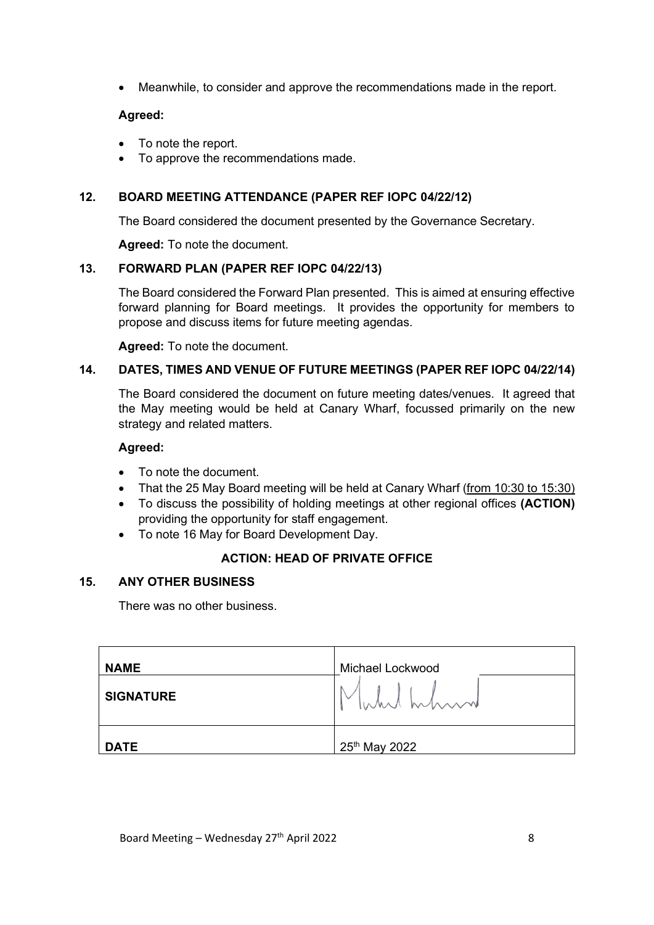• Meanwhile, to consider and approve the recommendations made in the report.

# **Agreed:**

- To note the report.
- To approve the recommendations made.

# **12. BOARD MEETING ATTENDANCE (PAPER REF IOPC 04/22/12)**

The Board considered the document presented by the Governance Secretary.

**Agreed:** To note the document.

# **13. FORWARD PLAN (PAPER REF IOPC 04/22/13)**

The Board considered the Forward Plan presented. This is aimed at ensuring effective forward planning for Board meetings. It provides the opportunity for members to propose and discuss items for future meeting agendas.

**Agreed:** To note the document.

# **14. DATES, TIMES AND VENUE OF FUTURE MEETINGS (PAPER REF IOPC 04/22/14)**

The Board considered the document on future meeting dates/venues. It agreed that the May meeting would be held at Canary Wharf, focussed primarily on the new strategy and related matters.

#### **Agreed:**

- To note the document.
- That the 25 May Board meeting will be held at Canary Wharf (from 10:30 to 15:30)
- To discuss the possibility of holding meetings at other regional offices **(ACTION)** providing the opportunity for staff engagement.
- To note 16 May for Board Development Day.

# **ACTION: HEAD OF PRIVATE OFFICE**

# **15. ANY OTHER BUSINESS**

There was no other business.

| <b>NAME</b>      | Michael Lockwood          |
|------------------|---------------------------|
| <b>SIGNATURE</b> | Muhil hhmm                |
| <b>DATE</b>      | 25 <sup>th</sup> May 2022 |